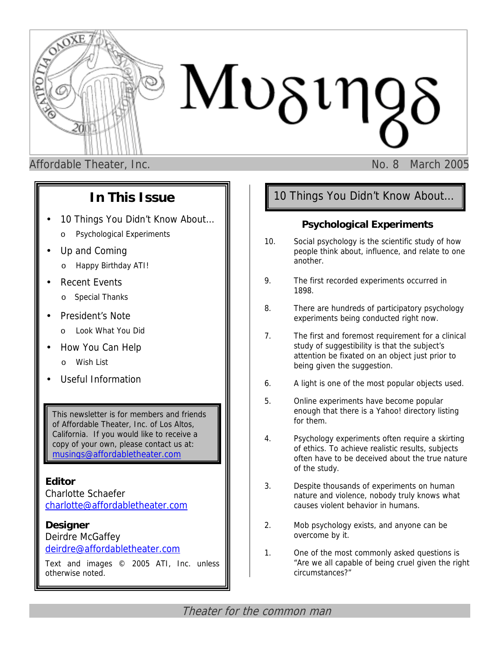

Affordable Theater, Inc. No. 8 March 2005

# **In This Issue**

- 10 Things You Didn't Know About...
	- o Psychological Experiments
- Up and Coming
	- o Happy Birthday ATI!
- Recent Events
	- o Special Thanks
- President's Note
	- o Look What You Did
- How You Can Help
	- o Wish List
- Useful Information

This newsletter is for members and friends of Affordable Theater, Inc. of Los Altos, California. If you would like to receive a copy of your own, please contact us at: [musings@affordabletheater.com](mailto:musings@affordabletheater.com)

# **Editor**

Charlotte Schaefer [charlotte@affordabletheater.com](mailto:charlotte@affordabletheater.com)

## **Designer** Deirdre McGaffey [deirdre@affordabletheater.com](mailto:deirdre@affordabletheater.com)

Text and images © 2005 ATI, Inc. unless otherwise noted.

# 10 Things You Didn't Know About…

# **Psychological Experiments**

- 10. Social psychology is the scientific study of how people think about, influence, and relate to one another.
- 9. The first recorded experiments occurred in 1898.
- 8. There are hundreds of participatory psychology experiments being conducted right now.
- 7. The first and foremost requirement for a clinical study of suggestibility is that the subject's attention be fixated on an object just prior to being given the suggestion.
- 6. A light is one of the most popular objects used.
- 5. Online experiments have become popular enough that there is a Yahoo! directory listing for them.
- 4. Psychology experiments often require a skirting of ethics. To achieve realistic results, subjects often have to be deceived about the true nature of the study.
- 3. Despite thousands of experiments on human nature and violence, nobody truly knows what causes violent behavior in humans.
- 2. Mob psychology exists, and anyone can be overcome by it.
- 1. One of the most commonly asked questions is "Are we all capable of being cruel given the right circumstances?"

Theater for the common man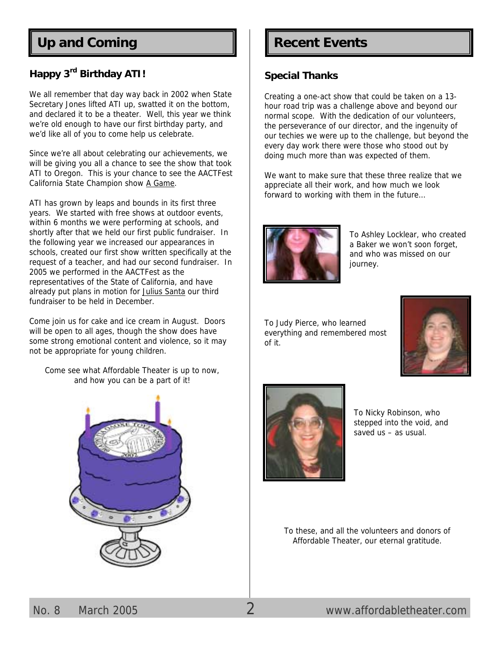# Up and Coming **Recent Events**

# **Happy 3rd Birthday ATI!**

We all remember that day way back in 2002 when State Secretary Jones lifted ATI up, swatted it on the bottom, and declared it to be a theater. Well, this year we think we're old enough to have our first birthday party, and we'd like all of you to come help us celebrate.

Since we're all about celebrating our achievements, we will be giving you all a chance to see the show that took ATI to Oregon. This is your chance to see the AACTFest California State Champion show A Game.

ATI has grown by leaps and bounds in its first three years. We started with free shows at outdoor events, within 6 months we were performing at schools, and shortly after that we held our first public fundraiser. In the following year we increased our appearances in schools, created our first show written specifically at the request of a teacher, and had our second fundraiser. In 2005 we performed in the AACTFest as the representatives of the State of California, and have already put plans in motion for Julius Santa our third fundraiser to be held in December.

Come join us for cake and ice cream in August. Doors will be open to all ages, though the show does have some strong emotional content and violence, so it may not be appropriate for young children.

Come see what Affordable Theater is up to now, and how you can be a part of it!



## **Special Thanks**

Creating a one-act show that could be taken on a 13 hour road trip was a challenge above and beyond our normal scope. With the dedication of our volunteers, the perseverance of our director, and the ingenuity of our techies we were up to the challenge, but beyond the every day work there were those who stood out by doing much more than was expected of them.

We want to make sure that these three realize that we appreciate all their work, and how much we look forward to working with them in the future…



To Ashley Locklear, who created a Baker we won't soon forget, and who was missed on our journey.

To Judy Pierce, who learned everything and remembered most of it.





To Nicky Robinson, who stepped into the void, and saved us – as usual.

To these, and all the volunteers and donors of Affordable Theater, our eternal gratitude.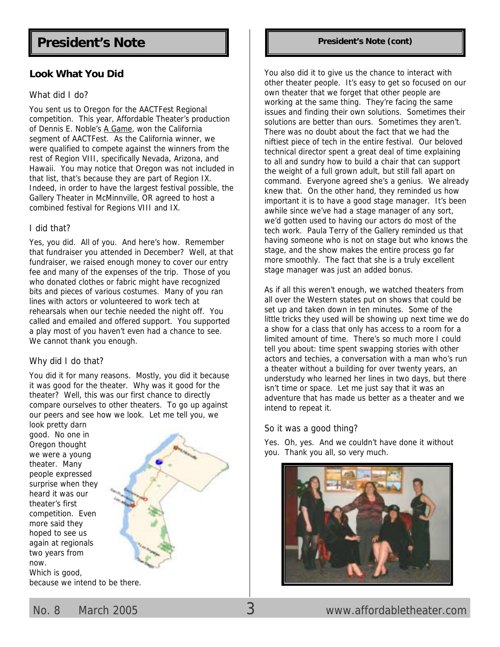# **President's Note President's Note**

## **Look What You Did**

#### What did I do?

You sent us to Oregon for the AACTFest Regional competition. This year, Affordable Theater's production of Dennis E. Noble's A Game, won the California segment of AACTFest. As the California winner, we were qualified to compete against the winners from the rest of Region VIII, specifically Nevada, Arizona, and Hawaii. You may notice that Oregon was not included in that list, that's because they are part of Region IX. Indeed, in order to have the largest festival possible, the Gallery Theater in McMinnville, OR agreed to host a combined festival for Regions VIII and IX.

### I did that?

Yes, you did. All of you. And here's how. Remember that fundraiser you attended in December? Well, at that fundraiser, we raised enough money to cover our entry fee and many of the expenses of the trip. Those of you who donated clothes or fabric might have recognized bits and pieces of various costumes. Many of you ran lines with actors or volunteered to work tech at rehearsals when our techie needed the night off. You called and emailed and offered support. You supported a play most of you haven't even had a chance to see. We cannot thank you enough.

### Why did I do that?

You did it for many reasons. Mostly, you did it because it was good for the theater. Why was it good for the theater? Well, this was our first chance to directly compare ourselves to other theaters. To go up against our peers and see how we look. Let me tell you, we

look pretty darn good. No one in Oregon thought we were a young theater. Many people expressed surprise when they heard it was our theater's first competition. Even more said they hoped to see us again at regionals two years from now.



Which is good, because we intend to be there.



You also did it to give us the chance to interact with other theater people. It's easy to get so focused on our own theater that we forget that other people are working at the same thing. They're facing the same issues and finding their own solutions. Sometimes their solutions are better than ours. Sometimes they aren't. There was no doubt about the fact that we had the niftiest piece of tech in the entire festival. Our beloved technical director spent a great deal of time explaining to all and sundry how to build a chair that can support the weight of a full grown adult, but still fall apart on command. Everyone agreed she's a genius. We already knew that. On the other hand, they reminded us how important it is to have a good stage manager. It's been awhile since we've had a stage manager of any sort, we'd gotten used to having our actors do most of the tech work. Paula Terry of the Gallery reminded us that having someone who is not on stage but who knows the stage, and the show makes the entire process go far more smoothly. The fact that she is a truly excellent stage manager was just an added bonus.

As if all this weren't enough, we watched theaters from all over the Western states put on shows that could be set up and taken down in ten minutes. Some of the little tricks they used will be showing up next time we do a show for a class that only has access to a room for a limited amount of time. There's so much more I could tell you about: time spent swapping stories with other actors and techies, a conversation with a man who's run a theater without a building for over twenty years, an understudy who learned her lines in two days, but there isn't time or space. Let me just say that it was an adventure that has made us better as a theater and we intend to repeat it.

#### So it was a good thing?

Yes. Oh, yes. And we couldn't have done it without you. Thank you all, so very much.